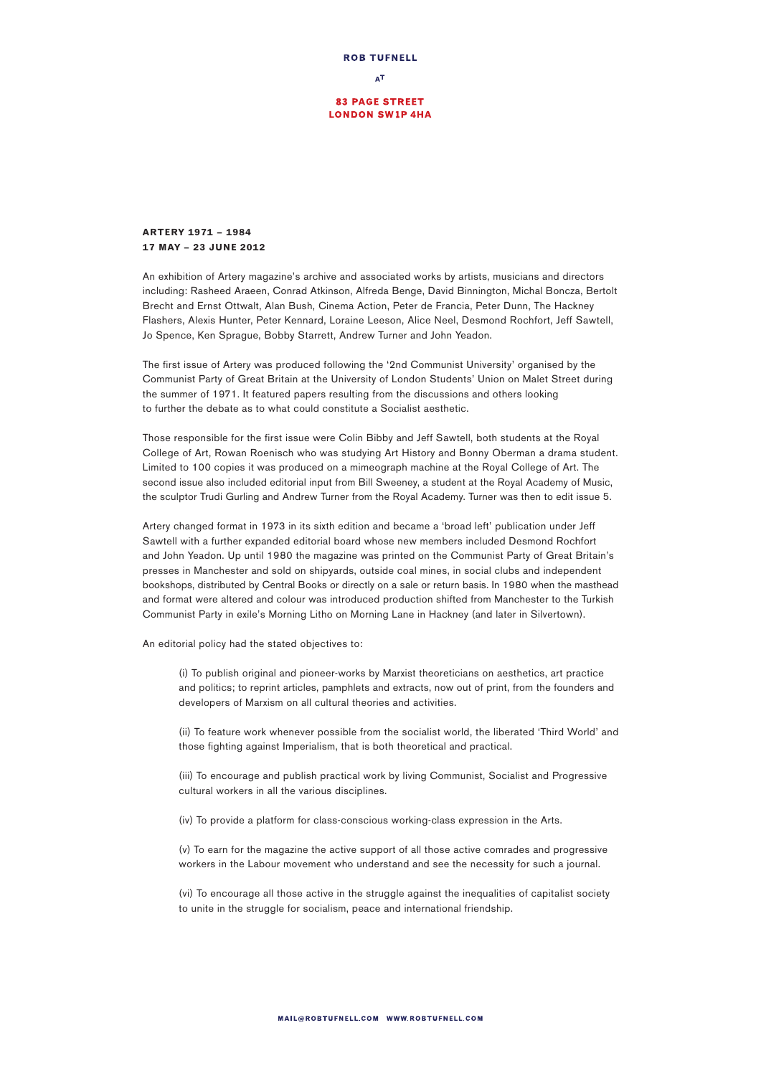

## **83 PAGE STREET LONDON SW1P 4HA**

## **ARTERY** 1971 – 1984 17 **MAY** – 23 **JUNE** 2012

An exhibition of Artery magazine's archive and associated works by artists, musicians and directors including: Rasheed Araeen, Conrad Atkinson, Alfreda Benge, David Binnington, Michal Boncza, Bertolt Brecht and Ernst Ottwalt, Alan Bush, Cinema Action, Peter de Francia, Peter Dunn, The Hackney Flashers, Alexis Hunter, Peter Kennard, Loraine Leeson, Alice Neel, Desmond Rochfort, Jeff Sawtell, Jo Spence, Ken Sprague, Bobby Starrett, Andrew Turner and John Yeadon.

The first issue of Artery was produced following the '2nd Communist University' organised by the Communist Party of Great Britain at the University of London Students' Union on Malet Street during the summer of 1971. It featured papers resulting from the discussions and others looking to further the debate as to what could constitute a Socialist aesthetic.

Those responsible for the first issue were Colin Bibby and Jeff Sawtell, both students at the Royal College of Art, Rowan Roenisch who was studying Art History and Bonny Oberman a drama student. Limited to 100 copies it was produced on a mimeograph machine at the Royal College of Art. The second issue also included editorial input from Bill Sweeney, a student at the Royal Academy of Music, the sculptor Trudi Gurling and Andrew Turner from the Royal Academy. Turner was then to edit issue 5.

Artery changed format in 1973 in its sixth edition and became a 'broad left' publication under Jeff Sawtell with a further expanded editorial board whose new members included Desmond Rochfort and John Yeadon. Up until 1980 the magazine was printed on the Communist Party of Great Britain's presses in Manchester and sold on shipyards, outside coal mines, in social clubs and independent bookshops, distributed by Central Books or directly on a sale or return basis. In 1980 when the masthead and format were altered and colour was introduced production shifted from Manchester to the Turkish Communist Party in exile's Morning Litho on Morning Lane in Hackney (and later in Silvertown).

An editorial policy had the stated objectives to:

(i) To publish original and pioneer-works by Marxist theoreticians on aesthetics, art practice and politics; to reprint articles, pamphlets and extracts, now out of print, from the founders and developers of Marxism on all cultural theories and activities.

(ii) To feature work whenever possible from the socialist world, the liberated 'Third World' and those fighting against Imperialism, that is both theoretical and practical.

(iii) To encourage and publish practical work by living Communist, Socialist and Progressive cultural workers in all the various disciplines.

(iv) To provide a platform for class-conscious working-class expression in the Arts.

(v) To earn for the magazine the active support of all those active comrades and progressive workers in the Labour movement who understand and see the necessity for such a journal.

(vi) To encourage all those active in the struggle against the inequalities of capitalist society to unite in the struggle for socialism, peace and international friendship.